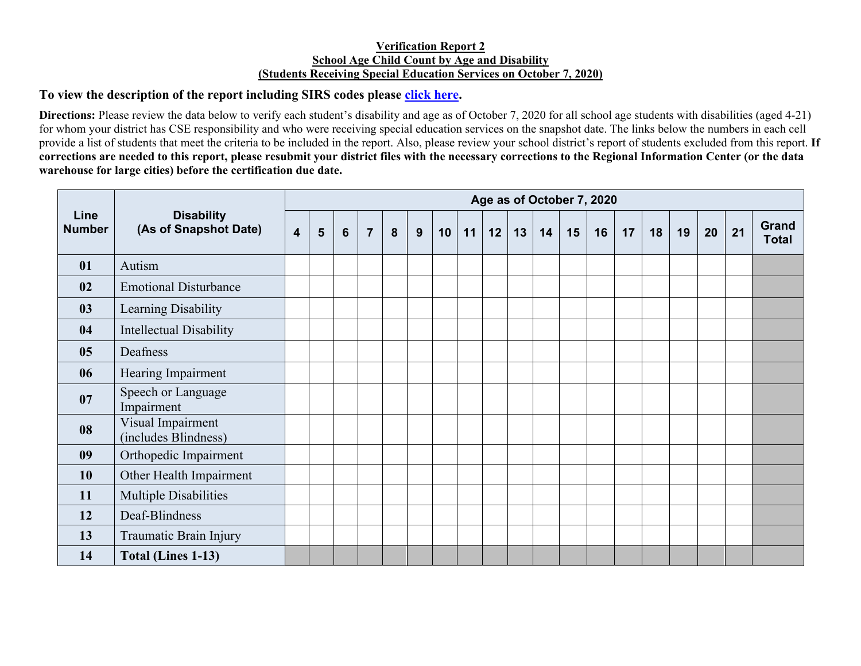## **Verification Report 2 School Age Child Count by Age and Disability (Students Receiving Special Education Services on October 7, 2020)**

## **To view the description of the report including SIRS codes please click here.**

**Directions:** Please review the data below to verify each student's disability and age as of October 7, 2020 for all school age students with disabilities (aged 4-21) for whom your district has CSE responsibility and who were receiving special education services on the snapshot date. The links below the numbers in each cell provide a list of students that meet the criteria to be included in the report. Also, please review your school district's report of students excluded from this report. **If corrections are needed to this report, please resubmit your district files with the necessary corrections to the Regional Information Center (or the data warehouse for large cities) before the certification due date.** 

| Line<br><b>Number</b> | <b>Disability</b><br>(As of Snapshot Date) | Age as of October 7, 2020 |   |                |                |   |   |    |    |    |    |    |    |    |    |    |    |    |    |                       |
|-----------------------|--------------------------------------------|---------------------------|---|----------------|----------------|---|---|----|----|----|----|----|----|----|----|----|----|----|----|-----------------------|
|                       |                                            | $\overline{\mathbf{4}}$   | 5 | $6\phantom{1}$ | $\overline{7}$ | 8 | 9 | 10 | 11 | 12 | 13 | 14 | 15 | 16 | 17 | 18 | 19 | 20 | 21 | Grand<br><b>Total</b> |
| 01                    | Autism                                     |                           |   |                |                |   |   |    |    |    |    |    |    |    |    |    |    |    |    |                       |
| 02                    | <b>Emotional Disturbance</b>               |                           |   |                |                |   |   |    |    |    |    |    |    |    |    |    |    |    |    |                       |
| 03                    | Learning Disability                        |                           |   |                |                |   |   |    |    |    |    |    |    |    |    |    |    |    |    |                       |
| 04                    | <b>Intellectual Disability</b>             |                           |   |                |                |   |   |    |    |    |    |    |    |    |    |    |    |    |    |                       |
| 05                    | Deafness                                   |                           |   |                |                |   |   |    |    |    |    |    |    |    |    |    |    |    |    |                       |
| 06                    | Hearing Impairment                         |                           |   |                |                |   |   |    |    |    |    |    |    |    |    |    |    |    |    |                       |
| 07                    | Speech or Language<br>Impairment           |                           |   |                |                |   |   |    |    |    |    |    |    |    |    |    |    |    |    |                       |
| 08                    | Visual Impairment<br>(includes Blindness)  |                           |   |                |                |   |   |    |    |    |    |    |    |    |    |    |    |    |    |                       |
| 09                    | Orthopedic Impairment                      |                           |   |                |                |   |   |    |    |    |    |    |    |    |    |    |    |    |    |                       |
| <b>10</b>             | Other Health Impairment                    |                           |   |                |                |   |   |    |    |    |    |    |    |    |    |    |    |    |    |                       |
| 11                    | <b>Multiple Disabilities</b>               |                           |   |                |                |   |   |    |    |    |    |    |    |    |    |    |    |    |    |                       |
| 12                    | Deaf-Blindness                             |                           |   |                |                |   |   |    |    |    |    |    |    |    |    |    |    |    |    |                       |
| 13                    | Traumatic Brain Injury                     |                           |   |                |                |   |   |    |    |    |    |    |    |    |    |    |    |    |    |                       |
| 14                    | <b>Total (Lines 1-13)</b>                  |                           |   |                |                |   |   |    |    |    |    |    |    |    |    |    |    |    |    |                       |